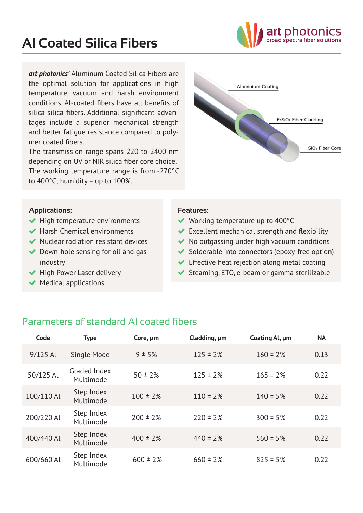

*art photonics'* Aluminum Coated Silica Fibers are the optimal solution for applications in high temperature, vacuum and harsh environment conditions. Al-coated fibers have all benefits of silica-silica fibers. Additional significant advantages include a superior mechanical strength and better fatigue resistance compared to polymer coated fibers.

The transmission range spans 220 to 2400 nm depending on UV or NIR silica fiber core choice. The working temperature range is from -270°C to 400°C; humidity – up to 100%.



## **Applications:**

- $\blacktriangleright$  High temperature environments
- Harsh Chemical environments
- $\blacktriangleright$  Nuclear radiation resistant devices
- $\blacktriangleright$  Down-hole sensing for oil and gas industry
- $\blacktriangleright$  High Power Laser delivery
- $\blacktriangleright$  Medical applications

## **Features:**

- ◆ Working temperature up to 400°C
- $\blacktriangleright$  Excellent mechanical strength and flexibility
- $\blacktriangleright$  No outgassing under high vacuum conditions
- $\blacktriangleright$  Solderable into connectors (epoxy-free option)
- $\blacktriangleright$  Effective heat rejection along metal coating
- ◆ Steaming, ETO, e-beam or gamma sterilizable

## Parameters of standard Al coated fibers

| Code       | <b>Type</b>               | Core, $\mu$ m | Cladding, um  | Coating Al, µm | <b>NA</b> |
|------------|---------------------------|---------------|---------------|----------------|-----------|
| $9/125$ Al | Single Mode               | 9 ± 5%        | $125 \pm 2\%$ | $160 \pm 2\%$  | 0.13      |
| 50/125 Al  | Graded Index<br>Multimode | $50 \pm 2\%$  | $125 \pm 2\%$ | $165 \pm 2\%$  | 0.22      |
| 100/110 Al | Step Index<br>Multimode   | $100 \pm 2\%$ | $110 \pm 2\%$ | $140 \pm 5\%$  | 0.22      |
| 200/220 Al | Step Index<br>Multimode   | $200 \pm 2\%$ | $220 \pm 2\%$ | $300 \pm 5\%$  | 0.22      |
| 400/440 Al | Step Index<br>Multimode   | $400 \pm 2\%$ | $440 \pm 2\%$ | $560 \pm 5\%$  | 0.22      |
| 600/660 Al | Step Index<br>Multimode   | $600 \pm 2\%$ | $660 \pm 2\%$ | $825 \pm 5\%$  | 0.22      |